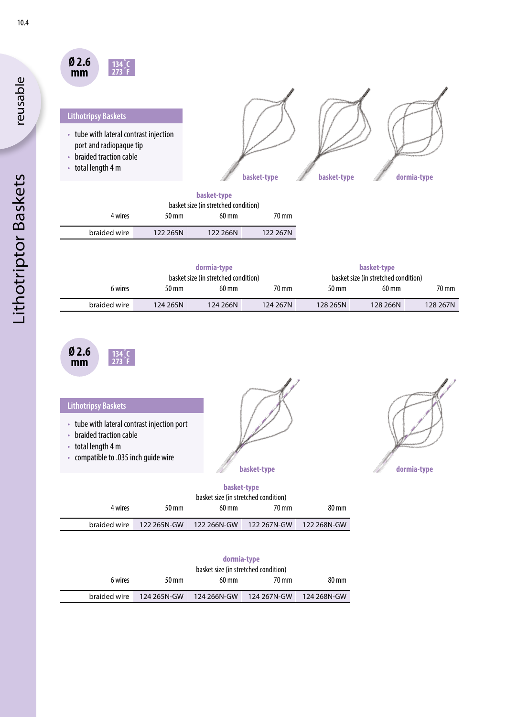| Ø 2.6 |  |
|-------|--|
| mm    |  |

# **Lithotripsy Baskets**

- tube with lateral contrast injection port and radiopaque tip
- braided traction cable
- total length 4 m



|              |          | basket-type<br>basket size (in stretched condition) |          |
|--------------|----------|-----------------------------------------------------|----------|
| 4 wires      | 50 mm    | $60 \text{ mm}$                                     | 70 mm    |
| braided wire | 122 265N | 122 266N                                            | 122 267N |
|              |          |                                                     |          |

| dormia-type<br>basket size (in stretched condition) |          |                 | basket-type<br>basket size (in stretched condition) |          |                    |          |
|-----------------------------------------------------|----------|-----------------|-----------------------------------------------------|----------|--------------------|----------|
| 6 wires                                             | 50 mm    | $60 \text{ mm}$ | 70 mm                                               | 50 mm    | $60 \,\mathrm{mm}$ | 70 mm    |
| braided wire                                        | 124 265N | 124 266N        | 124 267N                                            | 128 265N | 128 266N           | 128 267N |

| 0 Z.G |  |
|-------|--|
| mm    |  |

| <b>Lithotripsy Baskets</b><br>• tube with lateral contrast injection port<br>• braided traction cable<br>• total length 4 m<br>• compatible to .035 inch quide wire |                                          |                                                                          | basket-type |                 | dormia-type |
|---------------------------------------------------------------------------------------------------------------------------------------------------------------------|------------------------------------------|--------------------------------------------------------------------------|-------------|-----------------|-------------|
| 1                                                                                                                                                                   | $\Gamma$ <sup><math>\Lambda</math></sup> | basket-type<br>basket size (in stretched condition)<br>$(0 \text{ mas})$ | $70 - 22$   | $00 \text{ mm}$ |             |

|         |       | basket size (in stretched condition)                         |       |       |
|---------|-------|--------------------------------------------------------------|-------|-------|
| 4 wires | 50 mm | 60 mm                                                        | 70 mm | 80 mm |
|         |       | braided wire 122 265N-GW 122 266N-GW 122 267N-GW 122 268N-GW |       |       |

|              |             | dormia-type<br>basket size (in stretched condition) |             |             |
|--------------|-------------|-----------------------------------------------------|-------------|-------------|
| 6 wires      | 50 mm       | 60 mm                                               | 70 mm       | 80 mm       |
| braided wire | 124 265N-GW | 124 266N-GW                                         | 124 267N-GW | 124 268N-GW |

reusable